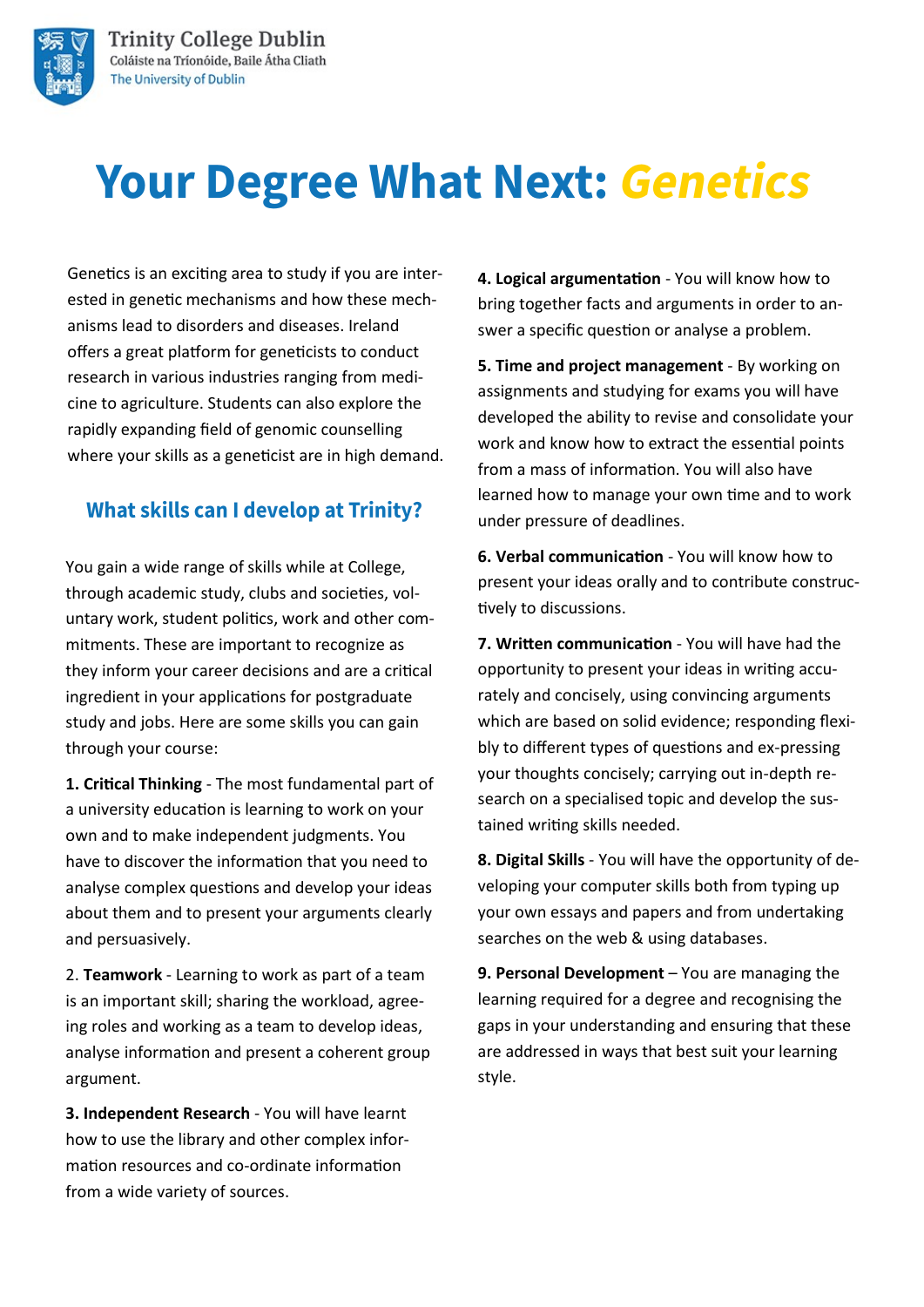



# **Your Degree What Next: Genetics**

Genetics is an exciting area to study if you are interested in genetic mechanisms and how these mechanisms lead to disorders and diseases. Ireland offers a great platform for geneticists to conduct research in various industries ranging from medicine to agriculture. Students can also explore the rapidly expanding field of genomic counselling where your skills as a geneticist are in high demand.

#### **What skills can I develop at Trinity?**

You gain a wide range of skills while at College, through academic study, clubs and societies, voluntary work, student politics, work and other commitments. These are important to recognize as they inform your career decisions and are a critical ingredient in your applications for postgraduate study and jobs. Here are some skills you can gain through your course:

**1. Critical Thinking** - The most fundamental part of a university education is learning to work on your own and to make independent judgments. You have to discover the information that you need to analyse complex questions and develop your ideas about them and to present your arguments clearly and persuasively.

2. **Teamwork** - Learning to work as part of a team is an important skill; sharing the workload, agreeing roles and working as a team to develop ideas, analyse information and present a coherent group argument.

**3. Independent Research** - You will have learnt how to use the library and other complex information resources and co-ordinate information from a wide variety of sources.

**4. Logical argumentation** - You will know how to bring together facts and arguments in order to answer a specific question or analyse a problem.

**5. Time and project management** - By working on assignments and studying for exams you will have developed the ability to revise and consolidate your work and know how to extract the essential points from a mass of information. You will also have learned how to manage your own time and to work under pressure of deadlines.

**6. Verbal communication** - You will know how to present your ideas orally and to contribute constructively to discussions.

**7. Written communication** - You will have had the opportunity to present your ideas in writing accurately and concisely, using convincing arguments which are based on solid evidence; responding flexibly to different types of questions and ex-pressing your thoughts concisely; carrying out in-depth research on a specialised topic and develop the sustained writing skills needed.

**8. Digital Skills** - You will have the opportunity of developing your computer skills both from typing up your own essays and papers and from undertaking searches on the web & using databases.

**9. Personal Development** – You are managing the learning required for a degree and recognising the gaps in your understanding and ensuring that these are addressed in ways that best suit your learning style.